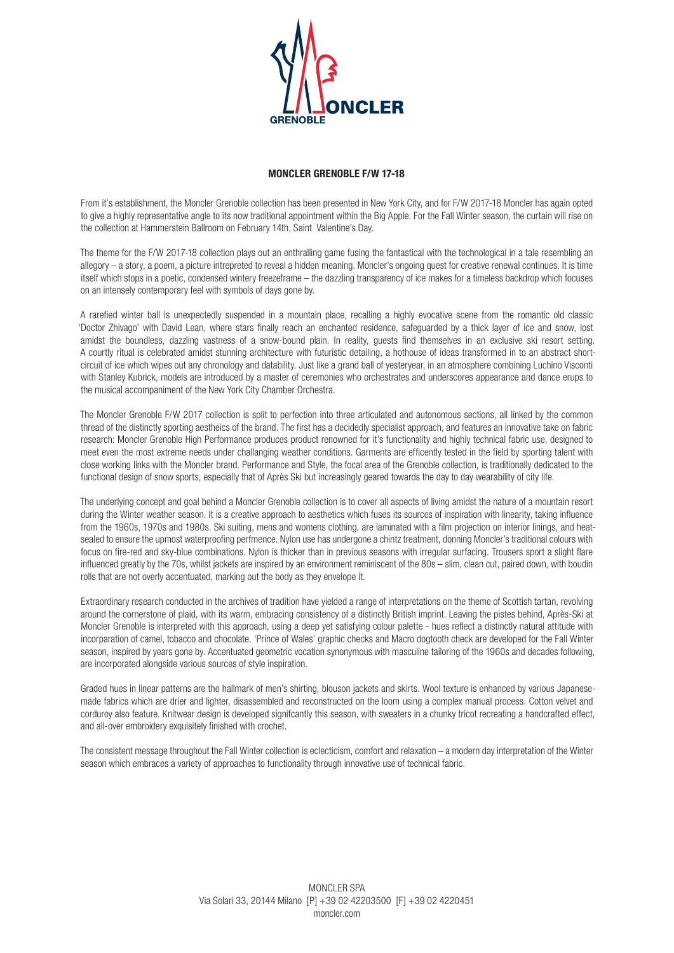

## **MONCLER GRENOBLE F/W 17-18**

From it's establishment, the Moncler Grenoble collection has been presented in New York City, and for F/W 2017-18 Moncler has again opted to give a highly representative angle to its now traditional appointment within the Big Apple. For the Fall Winter season, the curtain will rise on the collection at Hammerstein Ballroom on February 14th, Saint Valentine's Day.

The theme for the F/W 2017-18 collection plays out an enthralling game fusing the fantastical with the technological in a tale resembling an allegory – a story, a poem, a picture intrepreted to reveal a hidden meaning. Moncler's ongoing quest for creative renewal continues. It is time itself which stops in a poetic, condensed wintery freezeframe – the dazzling transparency of ice makes for a timeless backdrop which focuses on an intensely contemporary feel with symbols of days gone by.

A rarefied winter ball is unexpectedly suspended in a mountain place, recalling a highly evocative scene from the romantic old classic 'Doctor Zhivago' with David Lean, where stars finally reach an enchanted residence, safeguarded by a thick layer of ice and snow, lost amidst the boundless, dazzling vastness of a snow-bound plain. In reality, guests find themselves in an exclusive ski resort setting. A courtly ritual is celebrated amidst stunning architecture with futuristic detailing, a hothouse of ideas transformed in to an abstract shortcircuit of ice which wipes out any chronology and datability. Just like a grand ball of yesteryear, in an atmosphere combining Luchino Visconti with Stanley Kubrick, models are introduced by a master of ceremonies who orchestrates and underscores appearance and dance erups to the musical accompaniment of the New York City Chamber Orchestra.

The Moncler Grenoble F/W 2017 collection is split to perfection into three articulated and autonomous sections, all linked by the common thread of the distinctly sporting aestheics of the brand. The first has a decidedly specialist approach, and features an innovative take on fabric research: Moncler Grenoble High Performance produces product renowned for it's functionality and highly technical fabric use, designed to meet even the most extreme needs under challanging weather conditions. Garments are efficently tested in the field by sporting talent with close working links with the Moncler brand. Performance and Style, the focal area of the Grenoble collection, is traditionally dedicated to the functional design of snow sports, especially that of Après Ski but increasingly geared towards the day to day wearability of city life.

The underlying concept and goal behind a Moncler Grenoble collection is to cover all aspects of living amidst the nature of a mountain resort during the Winter weather season. It is a creative approach to aesthetics which fuses its sources of inspiration with linearity, taking influence from the 1960s, 1970s and 1980s. Ski suiting, mens and womens clothing, are laminated with a film projection on interior linings, and heatsealed to ensure the upmost waterproofing perfmence. Nylon use has undergone a chintz treatment, donning Moncler's traditional colours with focus on fire-red and sky-blue combinations. Nylon is thicker than in previous seasons with irregular surfacing. Trousers sport a slight flare influenced greatly by the 70s, whilst jackets are inspired by an environment reminiscent of the 80s - slim, clean cut, paired down, with boudin rolls that are not overly accentuated, marking out the body as they envelope it.

Extraordinary research conducted in the archives of tradition have yielded a range of interpretations on the theme of Scottish tartan, revolving around the cornerstone of plaid, with its warm, embracing consistency of a distinctly British imprint. Leaving the pistes behind, Après-Ski at Moncler Grenoble is interpreted with this approach, using a deep yet satisfying colour palette - hues reflect a distinctly natural attitude with incorparation of camel, tobacco and chocolate. 'Prince of Wales' graphic checks and Macro dogtooth check are developed for the Fall Winter season, inspired by years gone by. Accentuated geometric vocation synonymous with masculine tailoring of the 1960s and decades following. are incorporated alongside various sources of style inspiration.

Graded hues in linear patterns are the hallmark of men's shirting, blouson jackets and skirts. Wool texture is enhanced by various Japanesemade fabrics which are drier and lighter, disassembled and reconstructed on the loom using a complex manual process. Cotton velvet and corduroy also feature. Knitwear design is developed signifcantly this season, with sweaters in a chunky tricot recreating a handcrafted effect, and all-over embroidery exquisitely finished with crochet.

The consistent message throughout the Fall Winter collection is eclecticism, comfort and relaxation – a modern day interpretation of the Winter season which embraces a variety of approaches to functionality through innovative use of technical fabric.